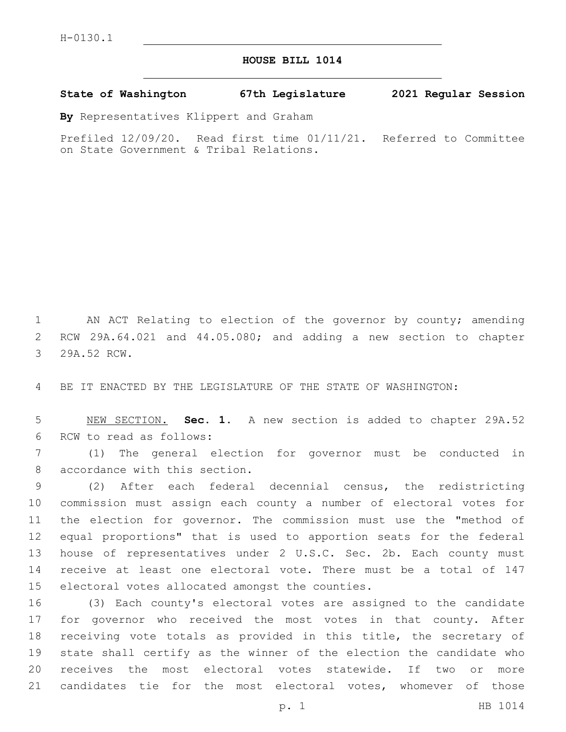## **HOUSE BILL 1014**

## **State of Washington 67th Legislature 2021 Regular Session**

**By** Representatives Klippert and Graham

Prefiled 12/09/20. Read first time 01/11/21. Referred to Committee on State Government & Tribal Relations.

1 AN ACT Relating to election of the governor by county; amending 2 RCW 29A.64.021 and 44.05.080; and adding a new section to chapter 3 29A.52 RCW.

4 BE IT ENACTED BY THE LEGISLATURE OF THE STATE OF WASHINGTON:

5 NEW SECTION. **Sec. 1.** A new section is added to chapter 29A.52 6 RCW to read as follows:

7 (1) The general election for governor must be conducted in 8 accordance with this section.

 (2) After each federal decennial census, the redistricting commission must assign each county a number of electoral votes for the election for governor. The commission must use the "method of equal proportions" that is used to apportion seats for the federal house of representatives under 2 U.S.C. Sec. 2b. Each county must receive at least one electoral vote. There must be a total of 147 15 electoral votes allocated amongst the counties.

 (3) Each county's electoral votes are assigned to the candidate for governor who received the most votes in that county. After receiving vote totals as provided in this title, the secretary of state shall certify as the winner of the election the candidate who receives the most electoral votes statewide. If two or more candidates tie for the most electoral votes, whomever of those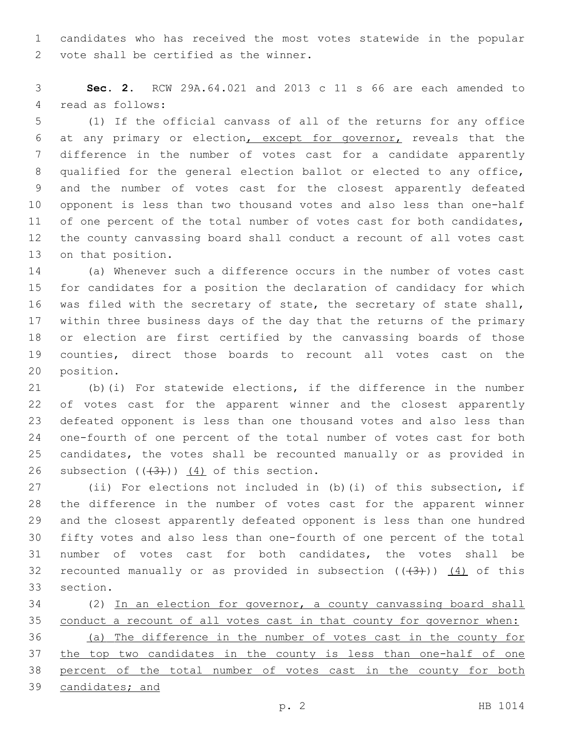candidates who has received the most votes statewide in the popular 2 vote shall be certified as the winner.

 **Sec. 2.** RCW 29A.64.021 and 2013 c 11 s 66 are each amended to 4 read as follows:

 (1) If the official canvass of all of the returns for any office at any primary or election, except for governor, reveals that the difference in the number of votes cast for a candidate apparently qualified for the general election ballot or elected to any office, and the number of votes cast for the closest apparently defeated opponent is less than two thousand votes and also less than one-half 11 of one percent of the total number of votes cast for both candidates, the county canvassing board shall conduct a recount of all votes cast 13 on that position.

 (a) Whenever such a difference occurs in the number of votes cast for candidates for a position the declaration of candidacy for which was filed with the secretary of state, the secretary of state shall, within three business days of the day that the returns of the primary or election are first certified by the canvassing boards of those counties, direct those boards to recount all votes cast on the 20 position.

 (b)(i) For statewide elections, if the difference in the number of votes cast for the apparent winner and the closest apparently defeated opponent is less than one thousand votes and also less than one-fourth of one percent of the total number of votes cast for both candidates, the votes shall be recounted manually or as provided in 26 subsection  $((+3))$   $(4)$  of this section.

 (ii) For elections not included in (b)(i) of this subsection, if the difference in the number of votes cast for the apparent winner and the closest apparently defeated opponent is less than one hundred fifty votes and also less than one-fourth of one percent of the total number of votes cast for both candidates, the votes shall be 32 recounted manually or as provided in subsection  $((+3+))$   $(4)$  of this 33 section.

 (2) In an election for governor, a county canvassing board shall conduct a recount of all votes cast in that county for governor when: (a) The difference in the number of votes cast in the county for 37 the top two candidates in the county is less than one-half of one percent of the total number of votes cast in the county for both candidates; and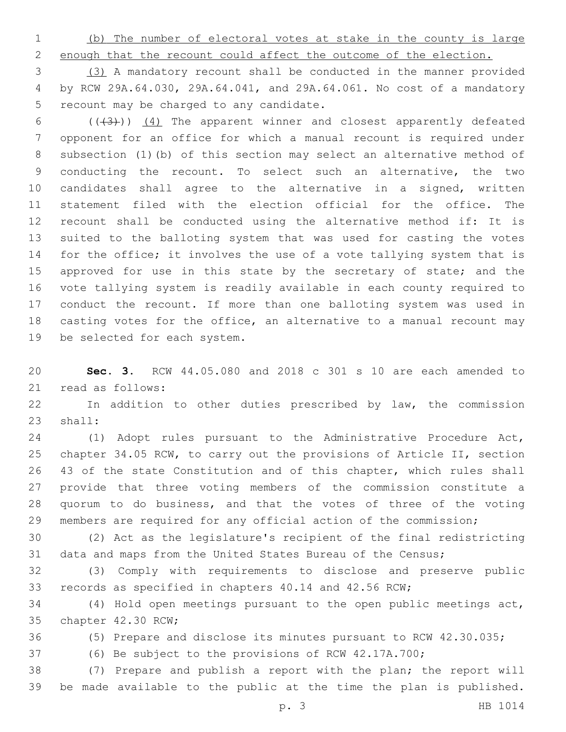(b) The number of electoral votes at stake in the county is large enough that the recount could affect the outcome of the election.

 (3) A mandatory recount shall be conducted in the manner provided by RCW 29A.64.030, 29A.64.041, and 29A.64.061. No cost of a mandatory 5 recount may be charged to any candidate.

 $((+3))$   $(4)$  The apparent winner and closest apparently defeated opponent for an office for which a manual recount is required under subsection (1)(b) of this section may select an alternative method of conducting the recount. To select such an alternative, the two candidates shall agree to the alternative in a signed, written statement filed with the election official for the office. The recount shall be conducted using the alternative method if: It is suited to the balloting system that was used for casting the votes for the office; it involves the use of a vote tallying system that is 15 approved for use in this state by the secretary of state; and the vote tallying system is readily available in each county required to conduct the recount. If more than one balloting system was used in casting votes for the office, an alternative to a manual recount may 19 be selected for each system.

 **Sec. 3.** RCW 44.05.080 and 2018 c 301 s 10 are each amended to 21 read as follows:

 In addition to other duties prescribed by law, the commission 23 shall:

 (1) Adopt rules pursuant to the Administrative Procedure Act, chapter 34.05 RCW, to carry out the provisions of Article II, section 43 of the state Constitution and of this chapter, which rules shall provide that three voting members of the commission constitute a quorum to do business, and that the votes of three of the voting members are required for any official action of the commission;

 (2) Act as the legislature's recipient of the final redistricting data and maps from the United States Bureau of the Census;

 (3) Comply with requirements to disclose and preserve public records as specified in chapters 40.14 and 42.56 RCW;

 (4) Hold open meetings pursuant to the open public meetings act, 35 chapter 42.30 RCW;

(5) Prepare and disclose its minutes pursuant to RCW 42.30.035;

(6) Be subject to the provisions of RCW 42.17A.700;

 (7) Prepare and publish a report with the plan; the report will be made available to the public at the time the plan is published.

p. 3 HB 1014